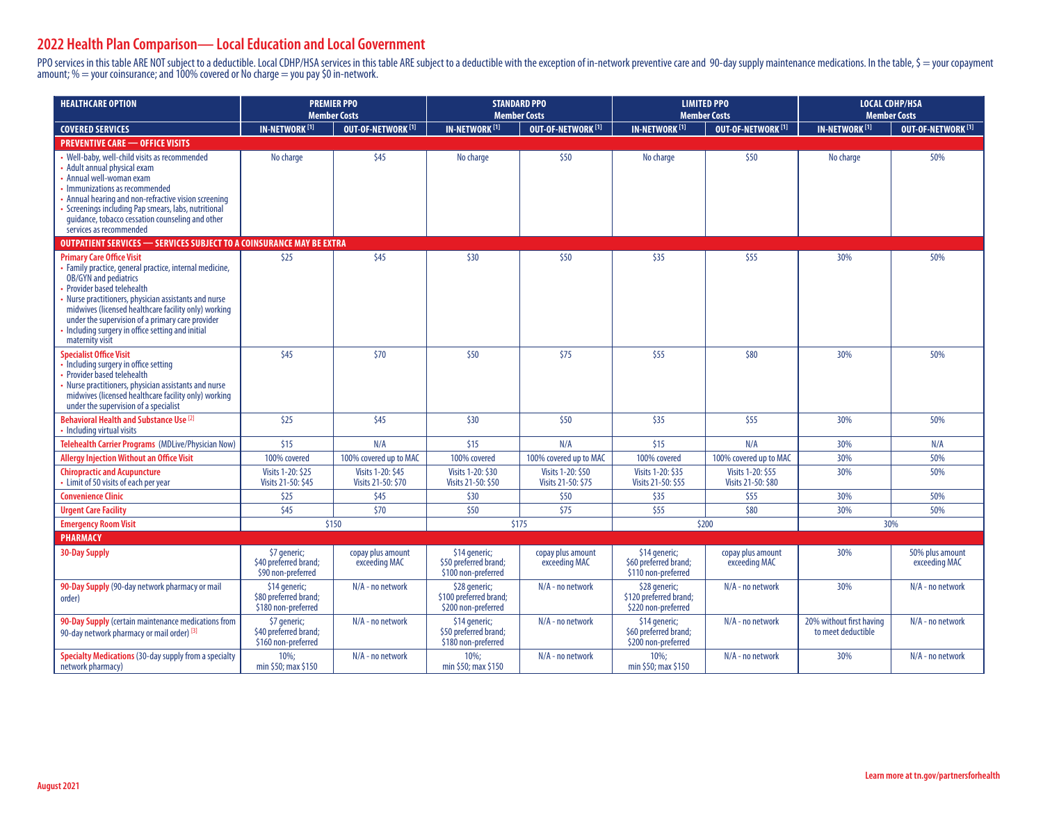## **2022 Health Plan Comparison— Local Education and Local Government**

PPO services in this table ARE NOT subject to a deductible. Local CDHP/HSA services in this table ARE subject to a deductible with the exception of in-network preventive care and 90-day supply maintenance medications. In t amount;  $\% =$  your coinsurance; and 100% covered or No charge  $=$  you pay \$0 in-network.

| <b>HEALTHCARE OPTION</b>                                                                                                                                                                                                                                                                                                                                                                        | <b>PREMIER PPO</b><br><b>Member Costs</b>                     |                                         | <b>STANDARD PPO</b><br><b>Member Costs</b>                     |                                         | <b>LIMITED PPO</b><br><b>Member Costs</b>                      |                                         | <b>LOCAL CDHP/HSA</b><br><b>Member Costs</b>   |                                  |  |  |  |
|-------------------------------------------------------------------------------------------------------------------------------------------------------------------------------------------------------------------------------------------------------------------------------------------------------------------------------------------------------------------------------------------------|---------------------------------------------------------------|-----------------------------------------|----------------------------------------------------------------|-----------------------------------------|----------------------------------------------------------------|-----------------------------------------|------------------------------------------------|----------------------------------|--|--|--|
| <b>COVERED SERVICES</b>                                                                                                                                                                                                                                                                                                                                                                         | <b>IN-NETWORK<sup>[1]</sup></b>                               | <b>OUT-OF-NETWORK [1]</b>               | <b>IN-NETWORK<sup>[1]</sup></b>                                | <b>OUT-OF-NETWORK [1]</b>               | <b>IN-NETWORK<sup>[1]</sup></b>                                | OUT-OF-NETWORK <sup>[1]</sup>           | <b>IN-NETWORK [1]</b>                          | <b>OUT-OF-NETWORK [1]</b>        |  |  |  |
| <b>PREVENTIVE CARE - OFFICE VISITS</b>                                                                                                                                                                                                                                                                                                                                                          |                                                               |                                         |                                                                |                                         |                                                                |                                         |                                                |                                  |  |  |  |
| Well-baby, well-child visits as recommended<br>Adult annual physical exam<br>Annual well-woman exam<br>Immunizations as recommended<br>Annual hearing and non-refractive vision screening<br>Screenings including Pap smears, labs, nutritional<br>quidance, tobacco cessation counseling and other<br>services as recommended                                                                  | No charge                                                     | \$45                                    | No charge                                                      | \$50                                    | No charge                                                      | \$50                                    | No charge                                      | 50%                              |  |  |  |
| OUTPATIENT SERVICES - SERVICES SUBJECT TO A COINSURANCE MAY BE EXTRA                                                                                                                                                                                                                                                                                                                            |                                                               |                                         |                                                                |                                         |                                                                |                                         |                                                |                                  |  |  |  |
| <b>Primary Care Office Visit</b><br>Family practice, general practice, internal medicine,<br><b>OB/GYN</b> and pediatrics<br>Provider based telehealth<br>Nurse practitioners, physician assistants and nurse<br>midwives (licensed healthcare facility only) working<br>under the supervision of a primary care provider<br>Including surgery in office setting and initial<br>maternity visit | \$25                                                          | \$45                                    | \$30                                                           | \$50                                    | \$35                                                           | \$55                                    | 30%                                            | 50%                              |  |  |  |
| <b>Specialist Office Visit</b><br>Including surgery in office setting<br>Provider based telehealth<br>Nurse practitioners, physician assistants and nurse<br>midwives (licensed healthcare facility only) working<br>under the supervision of a specialist                                                                                                                                      | \$45                                                          | \$70                                    | \$50                                                           | \$75                                    | \$55                                                           | \$80                                    | 30%                                            | 50%                              |  |  |  |
| Behavioral Health and Substance Use <sup>[2]</sup><br>Including virtual visits                                                                                                                                                                                                                                                                                                                  | \$25                                                          | \$45                                    | \$30                                                           | \$50                                    | \$35                                                           | \$55                                    | 30%                                            | 50%                              |  |  |  |
| Telehealth Carrier Programs (MDLive/Physician Now)                                                                                                                                                                                                                                                                                                                                              | \$15                                                          | N/A                                     | \$15                                                           | N/A                                     | \$15                                                           | N/A                                     | 30%                                            | N/A                              |  |  |  |
| <b>Allergy Injection Without an Office Visit</b>                                                                                                                                                                                                                                                                                                                                                | 100% covered                                                  | 100% covered up to MAC                  | 100% covered                                                   | 100% covered up to MAC                  | 100% covered                                                   | 100% covered up to MAC                  | 30%                                            | 50%                              |  |  |  |
| <b>Chiropractic and Acupuncture</b><br>Limit of 50 visits of each per year                                                                                                                                                                                                                                                                                                                      | Visits 1-20: \$25<br>Visits 21-50: \$45                       | Visits 1-20: \$45<br>Visits 21-50: \$70 | Visits 1-20: \$30<br>Visits 21-50: \$50                        | Visits 1-20: \$50<br>Visits 21-50: \$75 | Visits 1-20: \$35<br>Visits 21-50: \$55                        | Visits 1-20: \$55<br>Visits 21-50: \$80 | 30%                                            | 50%                              |  |  |  |
| <b>Convenience Clinic</b>                                                                                                                                                                                                                                                                                                                                                                       | \$25                                                          | \$45                                    | \$30                                                           | \$50                                    | \$35                                                           | \$55                                    | 30%                                            | 50%                              |  |  |  |
| <b>Urgent Care Facility</b>                                                                                                                                                                                                                                                                                                                                                                     | \$45                                                          | \$70                                    | \$50                                                           | \$75                                    | \$55                                                           | \$80                                    | 30%                                            | 50%                              |  |  |  |
| <b>Emergency Room Visit</b>                                                                                                                                                                                                                                                                                                                                                                     | \$150                                                         |                                         | \$175                                                          |                                         | \$200                                                          |                                         | 30%                                            |                                  |  |  |  |
| <b>PHARMACY</b>                                                                                                                                                                                                                                                                                                                                                                                 |                                                               |                                         |                                                                |                                         |                                                                |                                         |                                                |                                  |  |  |  |
| <b>30-Day Supply</b>                                                                                                                                                                                                                                                                                                                                                                            | \$7 generic;<br>\$40 preferred brand;<br>\$90 non-preferred   | copay plus amount<br>exceeding MAC      | \$14 generic;<br>\$50 preferred brand;<br>\$100 non-preferred  | copay plus amount<br>exceeding MAC      | \$14 generic;<br>\$60 preferred brand;<br>\$110 non-preferred  | copay plus amount<br>exceeding MAC      | 30%                                            | 50% plus amount<br>exceeding MAC |  |  |  |
| 90-Day Supply (90-day network pharmacy or mail<br>order)                                                                                                                                                                                                                                                                                                                                        | \$14 generic;<br>\$80 preferred brand;<br>\$180 non-preferred | N/A - no network                        | \$28 generic;<br>\$100 preferred brand;<br>\$200 non-preferred | N/A - no network                        | \$28 generic;<br>\$120 preferred brand;<br>\$220 non-preferred | N/A - no network                        | 30%                                            | N/A - no network                 |  |  |  |
| 90-Day Supply (certain maintenance medications from<br>90-day network pharmacy or mail order) [3]                                                                                                                                                                                                                                                                                               | \$7 generic;<br>\$40 preferred brand;<br>\$160 non-preferred  | N/A - no network                        | \$14 generic;<br>\$50 preferred brand;<br>\$180 non-preferred  | N/A - no network                        | \$14 generic;<br>\$60 preferred brand;<br>\$200 non-preferred  | N/A - no network                        | 20% without first having<br>to meet deductible | N/A - no network                 |  |  |  |
| <b>Specialty Medications (30-day supply from a specialty</b><br>network pharmacy)                                                                                                                                                                                                                                                                                                               | $10\%;$<br>min \$50; max \$150                                | N/A - no network                        | $10\%;$<br>min \$50; max \$150                                 | N/A - no network                        | $10\%;$<br>min \$50; max \$150                                 | N/A - no network                        | 30%                                            | N/A - no network                 |  |  |  |